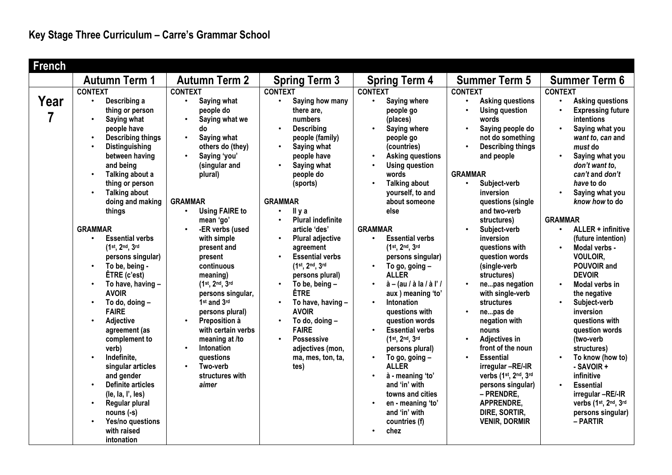| <b>French</b> |                                                                                                                                                                                                                                                                                                                                                                                                                                                                                                                                                                                    |                                                                                                                                                                                                                                                                                                                                                                                                                                          |                                                                                                                                                                                                                                                                                                                                                                                                                                                                                                                                                                                          |                                                                                                                                                                                                                                                                                                                                                                                                                                                                                                                                 |                                                                                                                                                                                                                                                                                                                                                                                                                                                                                                          |                                                                                                                                                                                                                                                                                                                                                                                                                                                                |
|---------------|------------------------------------------------------------------------------------------------------------------------------------------------------------------------------------------------------------------------------------------------------------------------------------------------------------------------------------------------------------------------------------------------------------------------------------------------------------------------------------------------------------------------------------------------------------------------------------|------------------------------------------------------------------------------------------------------------------------------------------------------------------------------------------------------------------------------------------------------------------------------------------------------------------------------------------------------------------------------------------------------------------------------------------|------------------------------------------------------------------------------------------------------------------------------------------------------------------------------------------------------------------------------------------------------------------------------------------------------------------------------------------------------------------------------------------------------------------------------------------------------------------------------------------------------------------------------------------------------------------------------------------|---------------------------------------------------------------------------------------------------------------------------------------------------------------------------------------------------------------------------------------------------------------------------------------------------------------------------------------------------------------------------------------------------------------------------------------------------------------------------------------------------------------------------------|----------------------------------------------------------------------------------------------------------------------------------------------------------------------------------------------------------------------------------------------------------------------------------------------------------------------------------------------------------------------------------------------------------------------------------------------------------------------------------------------------------|----------------------------------------------------------------------------------------------------------------------------------------------------------------------------------------------------------------------------------------------------------------------------------------------------------------------------------------------------------------------------------------------------------------------------------------------------------------|
|               | <b>Autumn Term 1</b>                                                                                                                                                                                                                                                                                                                                                                                                                                                                                                                                                               | <b>Autumn Term 2</b>                                                                                                                                                                                                                                                                                                                                                                                                                     |                                                                                                                                                                                                                                                                                                                                                                                                                                                                                                                                                                                          |                                                                                                                                                                                                                                                                                                                                                                                                                                                                                                                                 | <b>Summer Term 5</b>                                                                                                                                                                                                                                                                                                                                                                                                                                                                                     | <b>Summer Term 6</b>                                                                                                                                                                                                                                                                                                                                                                                                                                           |
| Year<br>7     | <b>CONTEXT</b><br>Describing a<br>$\bullet$<br>thing or person<br>$\bullet$<br>Saying what<br>people have<br><b>Describing things</b><br>$\bullet$<br><b>Distinguishing</b><br>between having<br>and being<br>Talking about a<br>$\bullet$<br>thing or person<br><b>Talking about</b><br>doing and making<br>things<br><b>GRAMMAR</b><br><b>Essential verbs</b><br>$\bullet$<br>(1st, 2nd, 3rd<br>persons singular)<br>To be, being -<br>$\bullet$<br>$ETRE$ (c'est)<br>To have, having -<br>$\bullet$<br><b>AVOIR</b><br>To do, doing -<br>$\bullet$<br><b>FAIRE</b><br>$\bullet$ | <b>CONTEXT</b><br>Saying what<br>$\bullet$<br>people do<br>Saying what we<br>$\bullet$<br>do<br>Saying what<br>others do (they)<br>Saying 'you'<br>(singular and<br>plural)<br><b>GRAMMAR</b><br><b>Using FAIRE to</b><br>$\bullet$<br>mean 'go'<br>-ER verbs (used<br>with simple<br>present and<br>present<br>continuous<br>meaning)<br>(1st, 2nd, 3rd<br>persons singular,<br>1 <sup>st</sup> and 3rd<br>persons plural)<br>$\bullet$ | <b>Spring Term 3</b><br><b>CONTEXT</b><br>$\bullet$<br>Saying how many<br>there are.<br>numbers<br>$\bullet$<br><b>Describing</b><br>people (family)<br>Saying what<br>$\bullet$<br>people have<br>Saying what<br>people do<br>(sports)<br><b>GRAMMAR</b><br>II y a<br>$\bullet$<br><b>Plural indefinite</b><br>$\bullet$<br>article 'des'<br><b>Plural adjective</b><br>$\bullet$<br>agreement<br><b>Essential verbs</b><br>$\bullet$<br>(1st, 2nd, 3rd<br>persons plural)<br>To be, being -<br>$\bullet$<br><b>ÊTRE</b><br>To have, having -<br>$\bullet$<br><b>AVOIR</b><br>$\bullet$ | <b>Spring Term 4</b><br><b>CONTEXT</b><br>Saying where<br>people go<br>(places)<br>Saying where<br>$\bullet$<br>people go<br>(countries)<br><b>Asking questions</b><br><b>Using question</b><br>$\bullet$<br>words<br><b>Talking about</b><br>yourself, to and<br>about someone<br>else<br><b>GRAMMAR</b><br><b>Essential verbs</b><br>$\bullet$<br>(1st, 2nd, 3rd<br>persons singular)<br>To go, going -<br><b>ALLER</b><br>$\dot{a}$ – (au / à la / à l' /<br>$\bullet$<br>aux ) meaning 'to'<br>Intonation<br>questions with | <b>CONTEXT</b><br><b>Asking questions</b><br><b>Using question</b><br>$\bullet$<br>words<br>Saying people do<br>$\bullet$<br>not do something<br><b>Describing things</b><br>$\bullet$<br>and people<br><b>GRAMMAR</b><br>Subject-verb<br>$\bullet$<br>inversion<br>questions (single<br>and two-verb<br>structures)<br>Subject-verb<br>$\bullet$<br>inversion<br>questions with<br>question words<br>(single-verb<br>structures)<br>nepas negation<br>with single-verb<br><b>structures</b><br>nepas de | <b>CONTEXT</b><br><b>Asking questions</b><br><b>Expressing future</b><br>intentions<br>Saying what you<br>want to, can and<br>must do<br>Saying what you<br>don't want to.<br>can't and don't<br>have to do<br>Saying what you<br>know how to do<br><b>GRAMMAR</b><br>ALLER + infinitive<br>$\bullet$<br>(future intention)<br>Modal verbs -<br><b>VOULOIR.</b><br>POUVOIR and<br><b>DEVOIR</b><br>Modal verbs in<br>the negative<br>Subject-verb<br>inversion |
|               | Adjective<br>agreement (as<br>complement to                                                                                                                                                                                                                                                                                                                                                                                                                                                                                                                                        | Preposition à<br>with certain verbs<br>meaning at /to                                                                                                                                                                                                                                                                                                                                                                                    | To do, doing -<br><b>FAIRE</b><br><b>Possessive</b><br>$\bullet$                                                                                                                                                                                                                                                                                                                                                                                                                                                                                                                         | question words<br><b>Essential verbs</b><br>$\bullet$<br>(1st, 2nd, 3rd                                                                                                                                                                                                                                                                                                                                                                                                                                                         | negation with<br>nouns<br><b>Adjectives in</b><br>$\bullet$                                                                                                                                                                                                                                                                                                                                                                                                                                              | questions with<br>question words<br>(two-verb                                                                                                                                                                                                                                                                                                                                                                                                                  |
|               | verb)<br>Indefinite,<br>$\bullet$<br>singular articles<br>and gender<br><b>Definite articles</b><br>(le, la, l', les)<br>Regular plural<br>$\bullet$<br>$nouns (-s)$<br>Yes/no questions<br>$\bullet$<br>with raised<br>intonation                                                                                                                                                                                                                                                                                                                                                 | Intonation<br>$\bullet$<br>questions<br>Two-verb<br>$\bullet$<br>structures with<br>aimer                                                                                                                                                                                                                                                                                                                                                | adjectives (mon,<br>ma, mes, ton, ta,<br>tes)                                                                                                                                                                                                                                                                                                                                                                                                                                                                                                                                            | persons plural)<br>To go, going $-$<br>$\bullet$<br><b>ALLER</b><br>à - meaning 'to'<br>and 'in' with<br>towns and cities<br>en - meaning 'to'<br>and 'in' with<br>countries (f)<br>chez                                                                                                                                                                                                                                                                                                                                        | front of the noun<br><b>Essential</b><br>$\bullet$<br>irregular -RE/-IR<br>verbs (1st, 2nd, 3rd<br>persons singular)<br>- PRENDRE.<br>APPRENDRE,<br>DIRE, SORTIR,<br><b>VENIR, DORMIR</b>                                                                                                                                                                                                                                                                                                                | structures)<br>To know (how to)<br>- SAVOIR +<br>infinitive<br><b>Essential</b><br>irregular-RE/-IR<br>verbs (1st, 2nd, 3rd<br>persons singular)<br>– PARTIR                                                                                                                                                                                                                                                                                                   |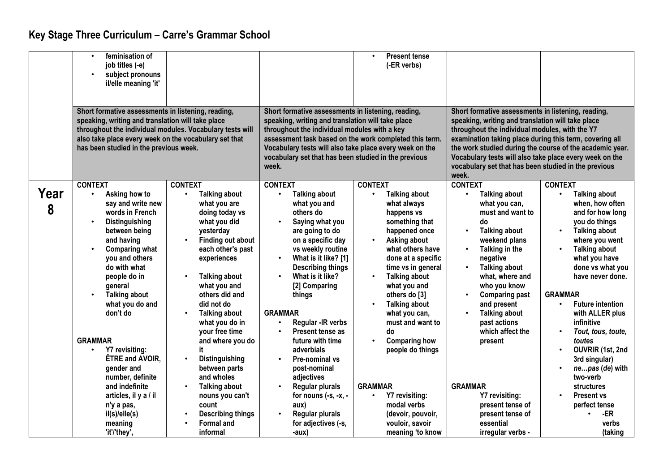## **Key Stage Three Curriculum – Carre's Grammar School**

|           | feminisation of<br>job titles (-e)<br>subject pronouns<br>il/elle meaning 'it'                                                                                                                                                                                                                                                                                                                                          |                                                                                                                                                                                                                                                                                                                                                                                                                                          |                                                                                                                                                                                                                                                                                                                                                                                                                                                                                      | <b>Present tense</b><br>$\bullet$<br>(-ER verbs)                                                                                                                                                                                                                                                                                                                                                                                                                      |                                                                                                                                                                                                                                                                                                                                                                                                              |                                                                                                                                                                                                                                                                                                                                                                                                                                                                              |
|-----------|-------------------------------------------------------------------------------------------------------------------------------------------------------------------------------------------------------------------------------------------------------------------------------------------------------------------------------------------------------------------------------------------------------------------------|------------------------------------------------------------------------------------------------------------------------------------------------------------------------------------------------------------------------------------------------------------------------------------------------------------------------------------------------------------------------------------------------------------------------------------------|--------------------------------------------------------------------------------------------------------------------------------------------------------------------------------------------------------------------------------------------------------------------------------------------------------------------------------------------------------------------------------------------------------------------------------------------------------------------------------------|-----------------------------------------------------------------------------------------------------------------------------------------------------------------------------------------------------------------------------------------------------------------------------------------------------------------------------------------------------------------------------------------------------------------------------------------------------------------------|--------------------------------------------------------------------------------------------------------------------------------------------------------------------------------------------------------------------------------------------------------------------------------------------------------------------------------------------------------------------------------------------------------------|------------------------------------------------------------------------------------------------------------------------------------------------------------------------------------------------------------------------------------------------------------------------------------------------------------------------------------------------------------------------------------------------------------------------------------------------------------------------------|
|           | Short formative assessments in listening, reading,<br>speaking, writing and translation will take place<br>throughout the individual modules. Vocabulary tests will<br>also take place every week on the vocabulary set that<br>has been studied in the previous week.                                                                                                                                                  |                                                                                                                                                                                                                                                                                                                                                                                                                                          | Short formative assessments in listening, reading,<br>speaking, writing and translation will take place<br>throughout the individual modules with a key<br>assessment task based on the work completed this term.<br>Vocabulary tests will also take place every week on the<br>vocabulary set that has been studied in the previous<br>week.                                                                                                                                        |                                                                                                                                                                                                                                                                                                                                                                                                                                                                       | Short formative assessments in listening, reading,<br>speaking, writing and translation will take place<br>throughout the individual modules, with the Y7<br>examination taking place during this term, covering all<br>the work studied during the course of the academic year.<br>Vocabulary tests will also take place every week on the<br>vocabulary set that has been studied in the previous<br>week. |                                                                                                                                                                                                                                                                                                                                                                                                                                                                              |
| Year<br>8 | <b>CONTEXT</b><br>Asking how to<br>say and write new<br>words in French<br>Distinguishing<br>between being<br>and having<br><b>Comparing what</b><br>you and others<br>do with what<br>people do in<br>general<br><b>Talking about</b><br>what you do and<br>don't do<br><b>GRAMMAR</b><br>Y7 revisiting:<br>ÊTRE and AVOIR,<br>gender and<br>number, definite<br>and indefinite<br>articles, il y a / il<br>n'y a pas, | <b>CONTEXT</b><br><b>Talking about</b><br>what you are<br>doing today vs<br>what you did<br>yesterday<br><b>Finding out about</b><br>each other's past<br>experiences<br><b>Talking about</b><br>what you and<br>others did and<br>did not do<br><b>Talking about</b><br>what you do in<br>your free time<br>and where you do<br>it<br>Distinguishing<br>between parts<br>and wholes<br><b>Talking about</b><br>nouns you can't<br>count | <b>CONTEXT</b><br><b>Talking about</b><br>what you and<br>others do<br>Saying what you<br>are going to do<br>on a specific day<br>vs weekly routine<br>What is it like? [1]<br>$\bullet$<br><b>Describing things</b><br>What is it like?<br>[2] Comparing<br>things<br><b>GRAMMAR</b><br>Regular - IR verbs<br>Present tense as<br>future with time<br>adverbials<br><b>Pre-nominal vs</b><br>post-nominal<br>adjectives<br><b>Regular plurals</b><br>for nouns $(-s, -x, -$<br>aux) | <b>CONTEXT</b><br><b>Talking about</b><br>what always<br>happens vs<br>something that<br>happened once<br>Asking about<br>$\bullet$<br>what others have<br>done at a specific<br>time vs in general<br><b>Talking about</b><br>$\bullet$<br>what you and<br>others do [3]<br><b>Talking about</b><br>what you can,<br>must and want to<br>do<br><b>Comparing how</b><br>$\bullet$<br>people do things<br><b>GRAMMAR</b><br>Y7 revisiting:<br>$\bullet$<br>modal verbs | <b>CONTEXT</b><br><b>Talking about</b><br>what you can,<br>must and want to<br>do<br><b>Talking about</b><br>weekend plans<br>Talking in the<br>$\bullet$<br>negative<br><b>Talking about</b><br>what, where and<br>who you know<br><b>Comparing past</b><br>and present<br><b>Talking about</b><br>past actions<br>which affect the<br>present<br><b>GRAMMAR</b><br>Y7 revisiting:<br>present tense of      | <b>CONTEXT</b><br><b>Talking about</b><br>when, how often<br>and for how long<br>you do things<br><b>Talking about</b><br>where you went<br><b>Talking about</b><br>what you have<br>done vs what you<br>have never done.<br><b>GRAMMAR</b><br><b>Future intention</b><br>$\bullet$<br>with ALLER plus<br>infinitive<br>Tout, tous, toute,<br>toutes<br>OUVRIR (1st, 2nd<br>3rd singular)<br>nepas (de) with<br>two-verb<br>structures<br><b>Present vs</b><br>perfect tense |
|           | il(s)/ell(s)<br>meaning<br>'it'/'they',                                                                                                                                                                                                                                                                                                                                                                                 | <b>Describing things</b><br><b>Formal and</b><br>informal                                                                                                                                                                                                                                                                                                                                                                                | <b>Regular plurals</b><br>$\bullet$<br>for adjectives (-s,<br>-aux)                                                                                                                                                                                                                                                                                                                                                                                                                  | (devoir, pouvoir,<br>vouloir, savoir<br>meaning 'to know                                                                                                                                                                                                                                                                                                                                                                                                              | present tense of<br>essential<br>irregular verbs -                                                                                                                                                                                                                                                                                                                                                           | -ER<br>verbs<br>(taking                                                                                                                                                                                                                                                                                                                                                                                                                                                      |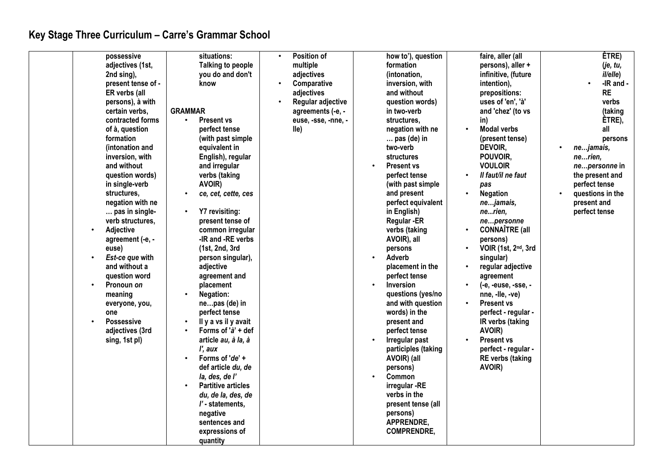## **Key Stage Three Curriculum – Carre's Grammar School**

| possessive         | situations:                            | Position of                 | how to'), question              | faire, aller (all                | ÊTRE)            |
|--------------------|----------------------------------------|-----------------------------|---------------------------------|----------------------------------|------------------|
| adjectives (1st,   | <b>Talking to people</b>               | multiple                    | formation                       | persons), aller +                | (je, tu,         |
| 2nd sing),         | you do and don't                       | adjectives                  | (intonation,                    | infinitive, (future              | il/elle)         |
| present tense of - | know                                   | Comparative                 | inversion, with                 | intention),                      | -IR and -        |
| ER verbs (all      |                                        | adjectives                  | and without                     | prepositions:                    | <b>RE</b>        |
| persons), à with   |                                        | Regular adjective           | question words)                 | uses of 'en', 'à'                | verbs            |
| certain verbs,     | <b>GRAMMAR</b>                         | agreements (-e, -           | in two-verb                     | and 'chez' (to vs                | (taking          |
| contracted forms   | <b>Present vs</b><br>$\bullet$         |                             |                                 |                                  | ÊTRE),           |
|                    | perfect tense                          | euse, -sse, -nne, -<br>lle) | structures,<br>negation with ne | in)<br><b>Modal verbs</b>        | all              |
| of à, question     |                                        |                             |                                 |                                  |                  |
| formation          | (with past simple                      |                             | $\ldots$ pas (de) in            | (present tense)                  | persons          |
| (intonation and    | equivalent in                          |                             | two-verb                        | <b>DEVOIR,</b>                   | nejamais,        |
| inversion, with    | English), regular                      |                             | structures                      | POUVOIR,                         | nerien,          |
| and without        | and irregular                          |                             | <b>Present vs</b>               | <b>VOULOIR</b>                   | nepersonne in    |
| question words)    | verbs (taking                          |                             | perfect tense                   | Il faut/il ne faut               | the present and  |
| in single-verb     | AVOIR)                                 |                             | (with past simple               | pas                              | perfect tense    |
| structures,        | ce, cet, cette, ces                    |                             | and present                     | <b>Negation</b>                  | questions in the |
| negation with ne   |                                        |                             | perfect equivalent              | nejamais,                        | present and      |
| pas in single-     | Y7 revisiting:<br>$\bullet$            |                             | in English)                     | nerien,                          | perfect tense    |
| verb structures,   | present tense of                       |                             | <b>Regular-ER</b>               | nepersonne                       |                  |
| Adjective          | common irregular                       |                             | verbs (taking                   | <b>CONNAÎTRE (all</b>            |                  |
| agreement (-e, -   | -IR and -RE verbs                      |                             | AVOIR), all                     | persons)                         |                  |
| euse)              | (1st, 2nd, 3rd                         |                             | persons                         | VOIR (1st, 2 <sup>nd</sup> , 3rd |                  |
| Est-ce que with    | person singular),                      |                             | Adverb                          | singular)                        |                  |
| and without a      | adjective                              |                             | placement in the                | regular adjective                |                  |
| question word      | agreement and                          |                             | perfect tense                   | agreement                        |                  |
| Pronoun on         | placement                              |                             | Inversion<br>$\bullet$          | (-e, -euse, -sse, -              |                  |
| meaning            | <b>Negation:</b>                       |                             | questions (yes/no               | nne, -lle, -ve)                  |                  |
| everyone, you,     | nepas (de) in                          |                             | and with question               | <b>Present vs</b>                |                  |
| one                | perfect tense                          |                             | words) in the                   | perfect - regular -              |                  |
| <b>Possessive</b>  | Il y a vs il y avait                   |                             | present and                     | IR verbs (taking                 |                  |
| adjectives (3rd    | Forms of 'à' + def                     |                             | perfect tense                   | AVOIR)                           |                  |
| sing, 1st pl)      | article au, à la, à                    |                             | Irregular past<br>$\bullet$     | <b>Present vs</b>                |                  |
|                    | l', aux                                |                             | participles (taking             | perfect - regular -              |                  |
|                    | Forms of 'de' +<br>$\bullet$           |                             | AVOIR) (all                     | <b>RE</b> verbs (taking          |                  |
|                    | def article du, de                     |                             | persons)                        | AVOIR)                           |                  |
|                    | la, des, de l'                         |                             | Common                          |                                  |                  |
|                    | <b>Partitive articles</b><br>$\bullet$ |                             | irregular -RE                   |                                  |                  |
|                    | du, de la, des, de                     |                             | verbs in the                    |                                  |                  |
|                    | l' - statements,                       |                             | present tense (all              |                                  |                  |
|                    | negative                               |                             | persons)                        |                                  |                  |
|                    | sentences and                          |                             | APPRENDRE,                      |                                  |                  |
|                    | expressions of                         |                             | <b>COMPRENDRE,</b>              |                                  |                  |
|                    | quantity                               |                             |                                 |                                  |                  |
|                    |                                        |                             |                                 |                                  |                  |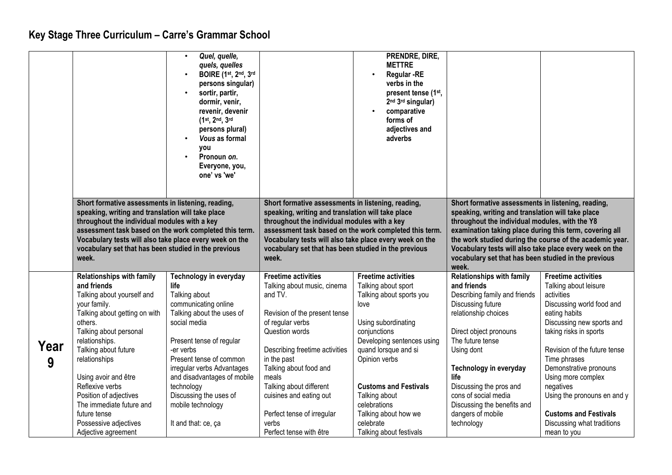## **Key Stage Three Curriculum – Carre's Grammar School**

|           |                                                                                                                                                                                                                                                                                                                                                                                                 | Quel, quelle,<br>$\bullet$<br>quels, quelles<br><b>BOIRE</b> (1st, 2nd, 3rd<br>$\bullet$<br>persons singular)<br>sortir, partir,<br>$\bullet$<br>dormir, venir,<br>revenir, devenir<br>(1st, 2nd, 3rd<br>persons plural)<br>Vous as formal<br><b>VOU</b><br>Pronoun on.<br>Everyone, you,<br>one' vs 'we'                                 |                                                                                                                                                                                                                                                                                                                                                         | PRENDRE, DIRE,<br><b>METTRE</b><br><b>Regular -RE</b><br>verbs in the<br>present tense (1 <sup>st</sup> ,<br>2 <sup>nd</sup> 3 <sup>rd</sup> singular)<br>comparative<br>forms of<br>adjectives and<br>adverbs                                                                                                                       |                                                                                                                                                                                                                                                                                                                                                                                                              |                                                                                                                                                                                                                                                                                                                                                                                                 |
|-----------|-------------------------------------------------------------------------------------------------------------------------------------------------------------------------------------------------------------------------------------------------------------------------------------------------------------------------------------------------------------------------------------------------|-------------------------------------------------------------------------------------------------------------------------------------------------------------------------------------------------------------------------------------------------------------------------------------------------------------------------------------------|---------------------------------------------------------------------------------------------------------------------------------------------------------------------------------------------------------------------------------------------------------------------------------------------------------------------------------------------------------|--------------------------------------------------------------------------------------------------------------------------------------------------------------------------------------------------------------------------------------------------------------------------------------------------------------------------------------|--------------------------------------------------------------------------------------------------------------------------------------------------------------------------------------------------------------------------------------------------------------------------------------------------------------------------------------------------------------------------------------------------------------|-------------------------------------------------------------------------------------------------------------------------------------------------------------------------------------------------------------------------------------------------------------------------------------------------------------------------------------------------------------------------------------------------|
|           | Short formative assessments in listening, reading,<br>speaking, writing and translation will take place<br>throughout the individual modules with a key<br>assessment task based on the work completed this term.<br>Vocabulary tests will also take place every week on the<br>vocabulary set that has been studied in the previous<br>week.                                                   |                                                                                                                                                                                                                                                                                                                                           | Short formative assessments in listening, reading,<br>speaking, writing and translation will take place<br>throughout the individual modules with a key<br>assessment task based on the work completed this term.<br>Vocabulary tests will also take place every week on the<br>vocabulary set that has been studied in the previous<br>week.           |                                                                                                                                                                                                                                                                                                                                      | Short formative assessments in listening, reading,<br>speaking, writing and translation will take place<br>throughout the individual modules, with the Y8<br>examination taking place during this term, covering all<br>the work studied during the course of the academic year.<br>Vocabulary tests will also take place every week on the<br>vocabulary set that has been studied in the previous<br>week. |                                                                                                                                                                                                                                                                                                                                                                                                 |
| Year<br>9 | <b>Relationships with family</b><br>and friends<br>Talking about yourself and<br>your family.<br>Talking about getting on with<br>others.<br>Talking about personal<br>relationships.<br>Talking about future<br>relationships<br>Using avoir and être<br>Reflexive verbs<br>Position of adjectives<br>The immediate future and<br>future tense<br>Possessive adjectives<br>Adjective agreement | Technology in everyday<br>life<br>Talking about<br>communicating online<br>Talking about the uses of<br>social media<br>Present tense of regular<br>-er verbs<br>Present tense of common<br>irregular verbs Advantages<br>and disadvantages of mobile<br>technology<br>Discussing the uses of<br>mobile technology<br>It and that: ce, ça | <b>Freetime activities</b><br>Talking about music, cinema<br>and TV.<br>Revision of the present tense<br>of regular verbs<br>Question words<br>Describing freetime activities<br>in the past<br>Talking about food and<br>meals<br>Talking about different<br>cuisines and eating out<br>Perfect tense of irregular<br>verbs<br>Perfect tense with être | <b>Freetime activities</b><br>Talking about sport<br>Talking about sports you<br>love<br>Using subordinating<br>conjunctions<br>Developing sentences using<br>quand lorsque and si<br>Opinion verbs<br><b>Customs and Festivals</b><br>Talking about<br>celebrations<br>Talking about how we<br>celebrate<br>Talking about festivals | <b>Relationships with family</b><br>and friends<br>Describing family and friends<br>Discussing future<br>relationship choices<br>Direct object pronouns<br>The future tense<br>Using dont<br>Technology in everyday<br>life<br>Discussing the pros and<br>cons of social media<br>Discussing the benefits and<br>dangers of mobile<br>technology                                                             | <b>Freetime activities</b><br>Talking about leisure<br>activities<br>Discussing world food and<br>eating habits<br>Discussing new sports and<br>taking risks in sports<br>Revision of the future tense<br>Time phrases<br>Demonstrative pronouns<br>Using more complex<br>negatives<br>Using the pronouns en and y<br><b>Customs and Festivals</b><br>Discussing what traditions<br>mean to you |